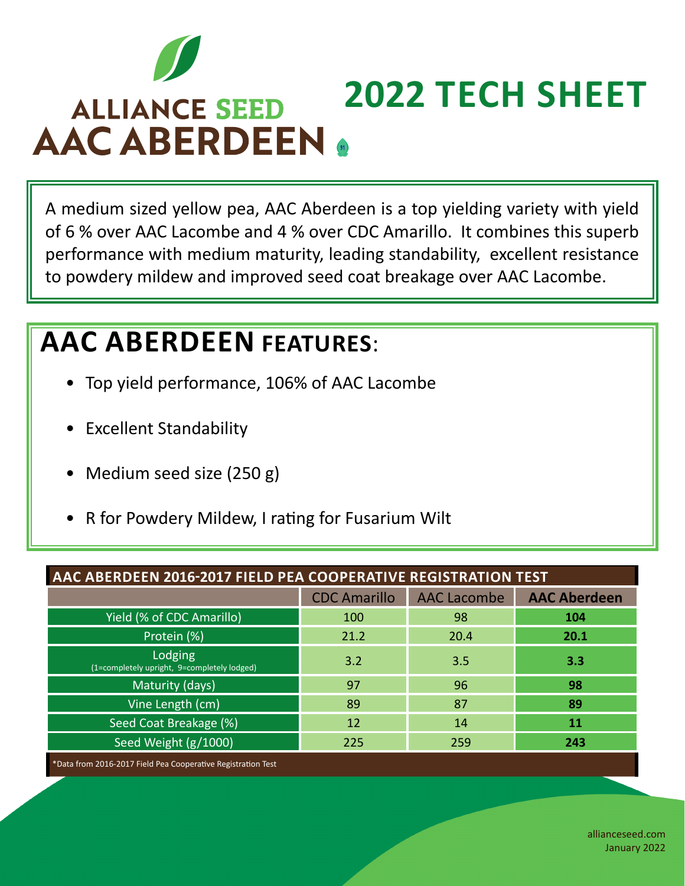

## **2022 TECH SHEET ALLIANCE SEED AAC ABERDEEN .**

A medium sized yellow pea, AAC Aberdeen is a top yielding variety with yield of 6 % over AAC Lacombe and 4 % over CDC Amarillo. It combines this superb performance with medium maturity, leading standability, excellent resistance to powdery mildew and improved seed coat breakage over AAC Lacombe.

## **AAC ABERDEEN FEATURES**:

- Top yield performance, 106% of AAC Lacombe
- Excellent Standability
- Medium seed size (250 g)
- R for Powdery Mildew, I rating for Fusarium Wilt

| AAC ABERDEEN 2016-2017 FIELD PEA COOPERATIVE REGISTRATION TEST |                     |                    |                     |  |
|----------------------------------------------------------------|---------------------|--------------------|---------------------|--|
|                                                                | <b>CDC Amarillo</b> | <b>AAC Lacombe</b> | <b>AAC Aberdeen</b> |  |
| <b>Yield (% of CDC Amarillo)</b>                               | 100                 | 98                 | 104                 |  |
| Protein (%)                                                    | 21.2                | 20.4               | 20.1                |  |
| Lodging<br>(1=completely upright, 9=completely lodged)         | 3.2                 | 3.5                | 3.3                 |  |
| Maturity (days)                                                | 97                  | 96                 | 98                  |  |
| Vine Length (cm)                                               | 89                  | 87                 | 89                  |  |
| Seed Coat Breakage (%)                                         | 12                  | 14                 | 11                  |  |
| Seed Weight (g/1000)                                           | 225                 | 259                | 243                 |  |

Data from 2016-2017 Field Pea Cooperative Registration Test